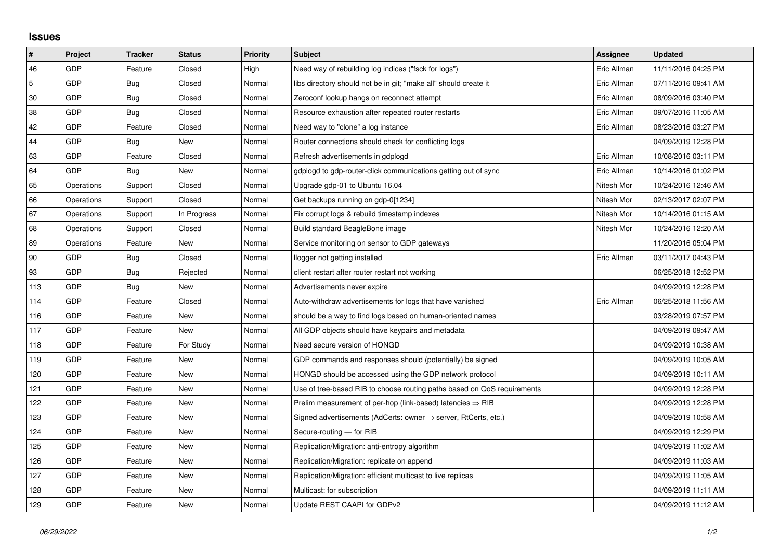## **Issues**

| $\vert$ #  | Project    | <b>Tracker</b> | <b>Status</b> | <b>Priority</b> | <b>Subject</b>                                                             | Assignee    | <b>Updated</b>      |
|------------|------------|----------------|---------------|-----------------|----------------------------------------------------------------------------|-------------|---------------------|
| 46         | GDP        | Feature        | Closed        | High            | Need way of rebuilding log indices ("fsck for logs")                       | Eric Allman | 11/11/2016 04:25 PM |
| $\sqrt{5}$ | <b>GDP</b> | Bug            | Closed        | Normal          | libs directory should not be in git; "make all" should create it           | Eric Allman | 07/11/2016 09:41 AM |
| 30         | <b>GDP</b> | Bug            | Closed        | Normal          | Zeroconf lookup hangs on reconnect attempt                                 | Eric Allman | 08/09/2016 03:40 PM |
| 38         | <b>GDP</b> | Bug            | Closed        | Normal          | Resource exhaustion after repeated router restarts                         | Eric Allman | 09/07/2016 11:05 AM |
| 42         | <b>GDP</b> | Feature        | Closed        | Normal          | Need way to "clone" a log instance                                         | Eric Allman | 08/23/2016 03:27 PM |
| 44         | GDP        | Bug            | New           | Normal          | Router connections should check for conflicting logs                       |             | 04/09/2019 12:28 PM |
| 63         | <b>GDP</b> | Feature        | Closed        | Normal          | Refresh advertisements in gdplogd                                          | Eric Allman | 10/08/2016 03:11 PM |
| 64         | GDP        | Bug            | New           | Normal          | gdplogd to gdp-router-click communications getting out of sync             | Eric Allman | 10/14/2016 01:02 PM |
| 65         | Operations | Support        | Closed        | Normal          | Upgrade gdp-01 to Ubuntu 16.04                                             | Nitesh Mor  | 10/24/2016 12:46 AM |
| 66         | Operations | Support        | Closed        | Normal          | Get backups running on gdp-0[1234]                                         | Nitesh Mor  | 02/13/2017 02:07 PM |
| 67         | Operations | Support        | In Progress   | Normal          | Fix corrupt logs & rebuild timestamp indexes                               | Nitesh Mor  | 10/14/2016 01:15 AM |
| 68         | Operations | Support        | Closed        | Normal          | Build standard BeagleBone image                                            | Nitesh Mor  | 10/24/2016 12:20 AM |
| 89         | Operations | Feature        | New           | Normal          | Service monitoring on sensor to GDP gateways                               |             | 11/20/2016 05:04 PM |
| 90         | <b>GDP</b> | Bug            | Closed        | Normal          | llogger not getting installed                                              | Eric Allman | 03/11/2017 04:43 PM |
| 93         | <b>GDP</b> | Bug            | Rejected      | Normal          | client restart after router restart not working                            |             | 06/25/2018 12:52 PM |
| 113        | <b>GDP</b> | Bug            | <b>New</b>    | Normal          | Advertisements never expire                                                |             | 04/09/2019 12:28 PM |
| 114        | GDP        | Feature        | Closed        | Normal          | Auto-withdraw advertisements for logs that have vanished                   | Eric Allman | 06/25/2018 11:56 AM |
| 116        | <b>GDP</b> | Feature        | New           | Normal          | should be a way to find logs based on human-oriented names                 |             | 03/28/2019 07:57 PM |
| 117        | <b>GDP</b> | Feature        | New           | Normal          | All GDP objects should have keypairs and metadata                          |             | 04/09/2019 09:47 AM |
| 118        | <b>GDP</b> | Feature        | For Study     | Normal          | Need secure version of HONGD                                               |             | 04/09/2019 10:38 AM |
| 119        | GDP        | Feature        | New           | Normal          | GDP commands and responses should (potentially) be signed                  |             | 04/09/2019 10:05 AM |
| 120        | <b>GDP</b> | Feature        | <b>New</b>    | Normal          | HONGD should be accessed using the GDP network protocol                    |             | 04/09/2019 10:11 AM |
| 121        | <b>GDP</b> | Feature        | New           | Normal          | Use of tree-based RIB to choose routing paths based on QoS requirements    |             | 04/09/2019 12:28 PM |
| 122        | <b>GDP</b> | Feature        | New           | Normal          | Prelim measurement of per-hop (link-based) latencies $\Rightarrow$ RIB     |             | 04/09/2019 12:28 PM |
| 123        | <b>GDP</b> | Feature        | <b>New</b>    | Normal          | Signed advertisements (AdCerts: owner $\rightarrow$ server, RtCerts, etc.) |             | 04/09/2019 10:58 AM |
| 124        | GDP        | Feature        | New           | Normal          | Secure-routing - for RIB                                                   |             | 04/09/2019 12:29 PM |
| 125        | <b>GDP</b> | Feature        | New           | Normal          | Replication/Migration: anti-entropy algorithm                              |             | 04/09/2019 11:02 AM |
| 126        | GDP        | Feature        | <b>New</b>    | Normal          | Replication/Migration: replicate on append                                 |             | 04/09/2019 11:03 AM |
| 127        | GDP        | Feature        | New           | Normal          | Replication/Migration: efficient multicast to live replicas                |             | 04/09/2019 11:05 AM |
| 128        | GDP        | Feature        | New           | Normal          | Multicast: for subscription                                                |             | 04/09/2019 11:11 AM |
| 129        | GDP        | Feature        | <b>New</b>    | Normal          | Update REST CAAPI for GDPv2                                                |             | 04/09/2019 11:12 AM |